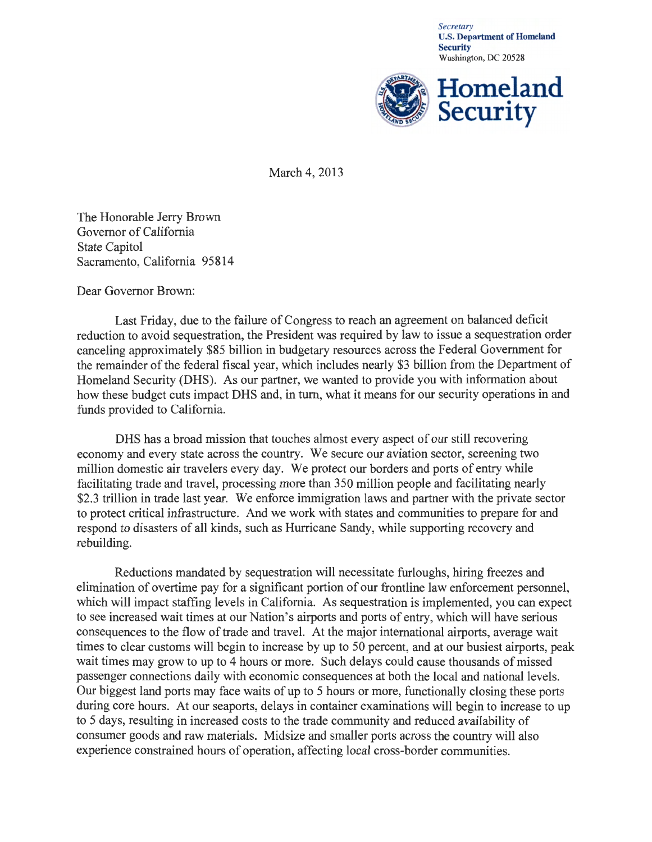*Secretary*  U.S. Department of Homeland **Security** Washington, DC 20528



March 4, 2013

The Honorable Jerry Brown Governor of California State Capitol Sacramento, California 95814

Dear Governor Brown:

Last Friday, due to the failure of Congress to reach an agreement on balanced deficit reduction to avoid sequestration, the President was required by law to issue a sequestration order canceling approximately \$85 billion in budgetary resources across the Federal Government for the remainder of the federal fiscal year, which includes nearly \$3 billion from the Department of Homeland Security (DHS). As our partner, we wanted to provide you with information about how these budget cuts impact DHS and, in turn, what it means for our security operations in and funds provided to California.

DHS has a broad mission that touches almost every aspect of our still recovering economy and every state across the country. We secure our aviation sector, screening two million domestic air travelers every day. We protect our borders and ports of entry while facilitating trade and travel, processing more than 350 million people and facilitating nearly \$2.3 trillion in trade last year. We enforce immigration laws and partner with the private sector to protect critical infrastructure. And we work with states and communities to prepare for and respond to disasters of all kinds, such as Hurricane Sandy, while supporting recovery and rebuilding.

Reductions mandated by sequestration will necessitate furloughs, hiring freezes and elimination of overtime pay for a significant portion of our frontline law enforcement personnel, which will impact staffing levels in California. As sequestration is implemented, you can expect to see increased wait times at our Nation's airports and ports of entry, which will have serious consequences to the flow of trade and travel. At the major international airports, average wait times to clear customs will begin to increase by up to 50 percent, and at our busiest airports, peak wait times may grow to up to 4 hours or more. Such delays could cause thousands of missed passenger connections daily with economic consequences at both the local and national levels. Our biggest land ports may face waits of up to 5 hours or more, functionally closing these ports during core hours. At our seaports, delays in container examinations will begin to increase to up to 5 days, resulting in increased costs to the trade community and reduced availability of consumer goods and raw materials. Midsize and smaller ports across the country will also experience constrained hours of operation, affecting local cross-border communities.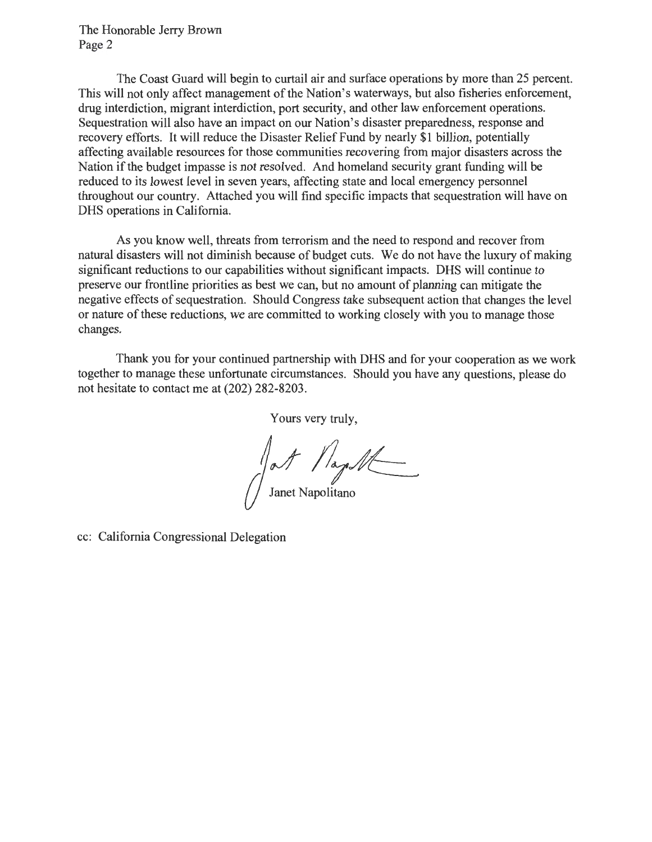The Honorable Jerry Brown Page 2

The Coast Guard will begin to curtail air and surface operations by more than 25 percent. This will not only affect management of the Nation's waterways, but also fisheries enforcement, drug interdiction, migrant interdiction, port security, and other law enforcement operations. Sequestration will also have an impact on our Nation's disaster preparedness, response and recovery efforts. It will reduce the Disaster Relief Fund by nearly \$1 billion, potentially affecting available resources for those communities recovering from major disasters across the Nation if the budget impasse is not resolved. And homeland security grant funding will be reduced to its lowest level in seven years, affecting state and local emergency personnel throughout our country. Attached you will find specific impacts that sequestration will have on DHS operations in California.

As you know well, threats from terrorism and the need to respond and recover from natural disasters will not diminish because of budget cuts. We do not have the luxury of making significant reductions to our capabilities without significant impacts. DHS will continue to preserve our frontline priorities as best we can, but no amount of planning can mitigate the negative effects of sequestration. Should Congress take subsequent action that changes the level or nature of these reductions, we are committed to working closely with you to manage those changes.

Thank you for your continued partnership with DHS and for your cooperation as we work together to manage these unfortunate circumstances. Should you have any questions, please do not hesitate to contact me at (202) 282-8203.

Yours very truly,

at / lage/t Janet Napolitano

cc: California Congressional Delegation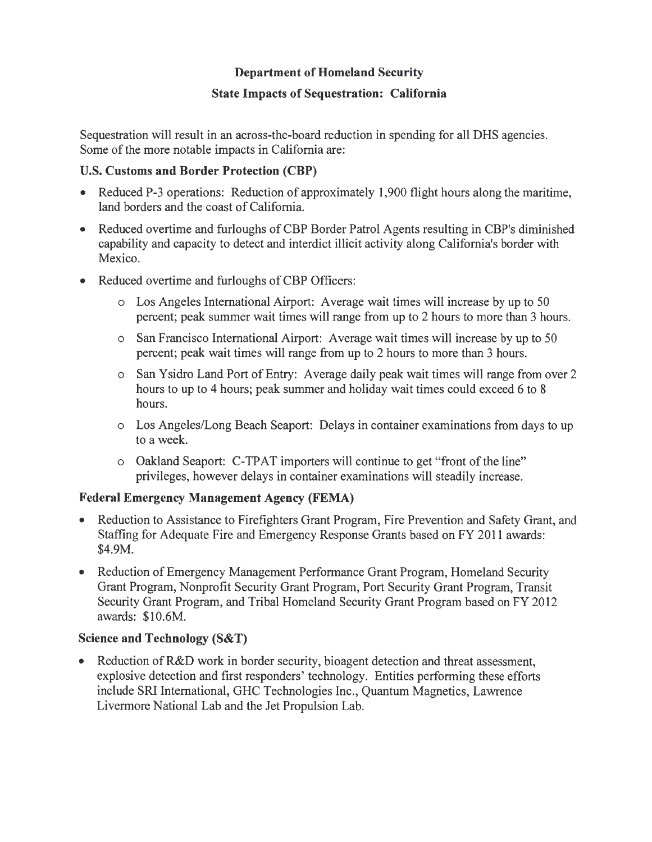#### **Department of Homeland Security**

#### **State Impacts of Sequestration: California**

Sequestration will result in an across-the-board reduction in spending for all DHS agencies. Some of the more notable impacts in California are:

### U.S. **Customs and Border Protection (CBP)**

- Reduced P-3 operations: Reduction of approximately 1,900 flight hours along the maritime, land borders and the coast of California.
- Reduced overtime and furloughs of CBP Border Patrol Agents resulting in CBP's diminished capability and capacity to detect and interdict illicit activity along California's border with Mexico.
- Reduced overtime and furloughs of CBP Officers:
	- o Los Angeles International Airport: Average wait times will increase by up to 50 percent; peak summer wait times will range from up to 2 hours to more than 3 hours.
	- o San Francisco International Airport: Average wait times will increase by up to 50 percent; peak wait times will range from up to 2 hours to more than 3 hours.
	- o San Ysidro Land Port of Entry: Average daily peak wait times will range from over 2 hours to up to 4 hours; peak summer and holiday wait times could exceed 6 to 8 hours.
	- o Los Angeles/Long Beach Seaport: Delays in container examinations from days to up to a week.
	- $\circ$  Oakland Seaport: C-TPAT importers will continue to get "front of the line" privileges, however delays in container examinations will steadily increase.

# **Federal Emergency Management Agency (FEMA)**

- Reduction to Assistance to Firefighters Grant Program, Fire Prevention and Safety Grant, and Staffing for Adequate Fire and Emergency Response Grants based on FY 2011 awards: \$4.9M.
- Reduction of Emergency Management Performance Grant Program, Homeland Security Grant Program, Nonprofit Security Grant Program, Port Security Grant Program, Transit Security Grant Program, and Tribal Homeland Security Grant Program based on FY 2012 awards: \$10.6M.

# **Science and Technology (S&T)**

• Reduction of R&D work in border security, bioagent detection and threat assessment, explosive detection and first responders' technology. Entities performing these efforts include SRI International, GHC Technologies Inc., Quantum Magnetics, Lawrence Livermore National Lab and the Jet Propulsion Lab.